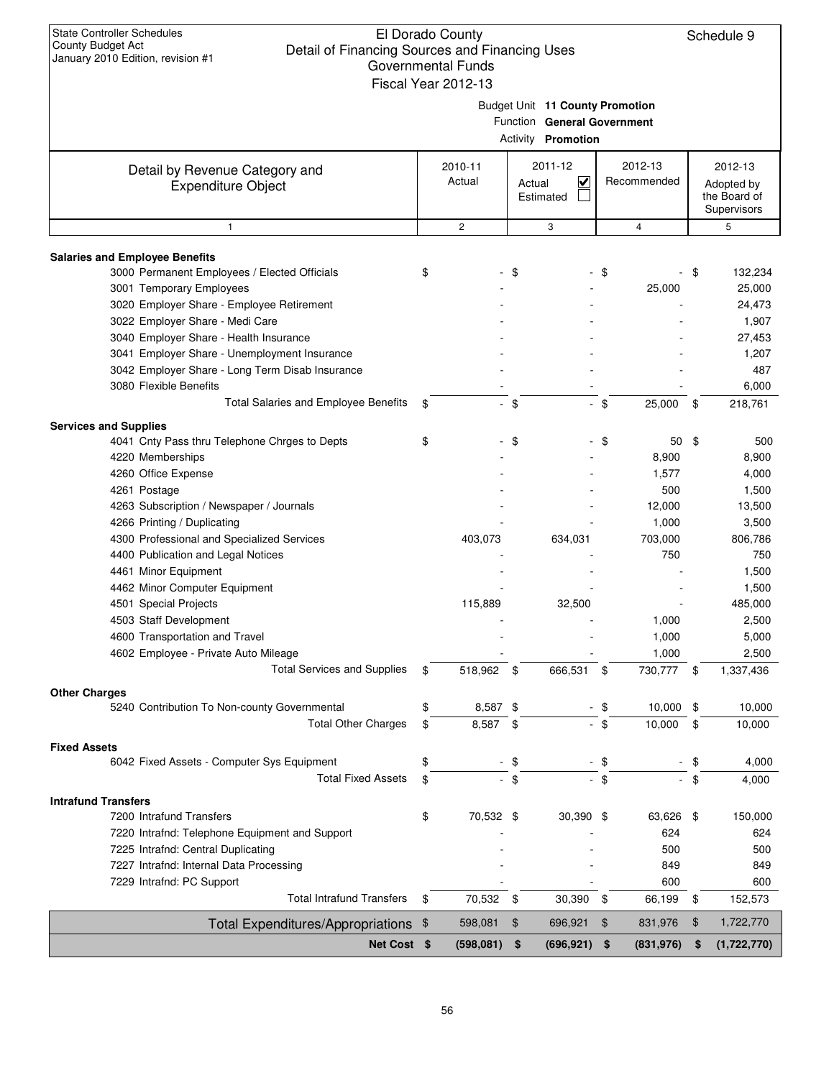| $30$ and $\frac{1}{2}$ $\frac{1}{2}$ by the Equators, the violent $\frac{1}{2}$ is | Governmental Funds<br>Fiscal Year 2012-13 |        |                                 |                |             |        |                  |
|------------------------------------------------------------------------------------|-------------------------------------------|--------|---------------------------------|----------------|-------------|--------|------------------|
|                                                                                    |                                           |        | Budget Unit 11 County Promotion |                |             |        |                  |
|                                                                                    |                                           |        | Function General Government     |                |             |        |                  |
|                                                                                    |                                           |        | <b>Activity Promotion</b>       |                |             |        |                  |
| Detail by Revenue Category and                                                     | 2010-11                                   |        | 2011-12                         |                | 2012-13     |        | 2012-13          |
| <b>Expenditure Object</b>                                                          | Actual                                    | Actual | ⊻                               |                | Recommended |        | Adopted by       |
|                                                                                    |                                           |        | Estimated                       |                |             |        | the Board of     |
| $\mathbf{1}$                                                                       | $\overline{c}$                            |        | 3                               |                | 4           |        | Supervisors<br>5 |
|                                                                                    |                                           |        |                                 |                |             |        |                  |
| <b>Salaries and Employee Benefits</b>                                              |                                           |        |                                 |                |             |        |                  |
| 3000 Permanent Employees / Elected Officials                                       | \$                                        | - \$   |                                 | - \$           |             | - \$   | 132,234          |
| 3001 Temporary Employees                                                           |                                           |        |                                 |                | 25,000      |        | 25,000           |
| 3020 Employer Share - Employee Retirement                                          |                                           |        |                                 |                |             |        | 24,473           |
| 3022 Employer Share - Medi Care                                                    |                                           |        |                                 |                |             |        | 1,907            |
| 3040 Employer Share - Health Insurance                                             |                                           |        |                                 |                |             |        | 27,453           |
| 3041 Employer Share - Unemployment Insurance                                       |                                           |        |                                 |                |             |        | 1,207            |
| 3042 Employer Share - Long Term Disab Insurance                                    |                                           |        |                                 |                |             |        | 487              |
| 3080 Flexible Benefits                                                             |                                           |        |                                 |                |             |        | 6,000            |
| Total Salaries and Employee Benefits                                               | \$                                        | $-$ \$ |                                 | $-$ \$         | 25,000      | \$     | 218,761          |
| <b>Services and Supplies</b>                                                       |                                           |        |                                 |                |             |        |                  |
| 4041 Cnty Pass thru Telephone Chrges to Depts                                      | \$                                        | - \$   |                                 | \$             | 50          | \$     | 500              |
| 4220 Memberships                                                                   |                                           |        |                                 |                | 8,900       |        | 8,900            |
| 4260 Office Expense                                                                |                                           |        |                                 |                | 1,577       |        | 4,000            |
| 4261 Postage                                                                       |                                           |        |                                 |                | 500         |        | 1,500            |
| 4263 Subscription / Newspaper / Journals                                           |                                           |        |                                 |                | 12,000      |        | 13,500           |
| 4266 Printing / Duplicating                                                        |                                           |        |                                 |                | 1,000       |        | 3,500            |
| 4300 Professional and Specialized Services                                         | 403,073                                   |        | 634,031                         |                | 703,000     |        | 806,786          |
| 4400 Publication and Legal Notices                                                 |                                           |        |                                 |                | 750         |        | 750              |
| 4461 Minor Equipment                                                               |                                           |        |                                 |                |             |        | 1,500            |
| 4462 Minor Computer Equipment                                                      |                                           |        |                                 |                |             |        | 1,500            |
| 4501 Special Projects                                                              | 115,889                                   |        | 32,500                          |                |             |        | 485,000          |
| 4503 Staff Development                                                             |                                           |        |                                 |                | 1,000       |        | 2,500            |
| 4600 Transportation and Travel                                                     |                                           |        |                                 |                | 1,000       |        | 5,000            |
| 4602 Employee - Private Auto Mileage                                               |                                           |        |                                 |                | 1,000       |        | 2,500            |
| <b>Total Services and Supplies</b>                                                 | 518.962                                   | \$.    | 666,531                         |                | 730,777     | \$.    | 1,337,436        |
| <b>Other Charges</b>                                                               |                                           |        |                                 |                |             |        |                  |
| 5240 Contribution To Non-county Governmental                                       | \$<br>8,587 \$                            |        |                                 | - \$           | 10,000 \$   |        | 10,000           |
| <b>Total Other Charges</b>                                                         | \$<br>8,587 \$                            |        |                                 | - \$           | 10,000      | \$     | 10,000           |
| <b>Fixed Assets</b><br>6042 Fixed Assets - Computer Sys Equipment                  |                                           |        |                                 |                |             |        | 4,000            |
| <b>Total Fixed Assets</b>                                                          | \$                                        | - \$   |                                 | - \$<br>$-$ \$ |             | \$     |                  |
|                                                                                    | \$                                        | $-$ \$ |                                 |                |             | $-$ \$ | 4,000            |
| <b>Intrafund Transfers</b><br>7200 Intrafund Transfers                             | \$<br>70,532 \$                           |        | 30,390 \$                       |                | 63,626 \$   |        | 150,000          |
|                                                                                    |                                           |        |                                 |                | 624         |        | 624              |
| 7220 Intrafnd: Telephone Equipment and Support                                     |                                           |        |                                 |                | 500         |        | 500              |
| 7225 Intrafnd: Central Duplicating                                                 |                                           |        |                                 |                |             |        |                  |
| 7227 Intrafnd: Internal Data Processing<br>7229 Intrafnd: PC Support               |                                           |        |                                 |                | 849<br>600  |        | 849              |
| <b>Total Intrafund Transfers</b>                                                   | \$<br>70,532 \$                           |        | 30,390                          | -\$            | 66,199      | \$     | 600<br>152,573   |
|                                                                                    | 598,081                                   | \$     | 696,921                         | \$             | 831,976     | \$     | 1,722,770        |
| <b>Total Expenditures/Appropriations</b>                                           | \$                                        |        |                                 |                |             |        |                  |
| Net Cost \$                                                                        | (598, 081)                                | \$     | (696, 921)                      | \$             | (831, 976)  | \$     | (1,722,770)      |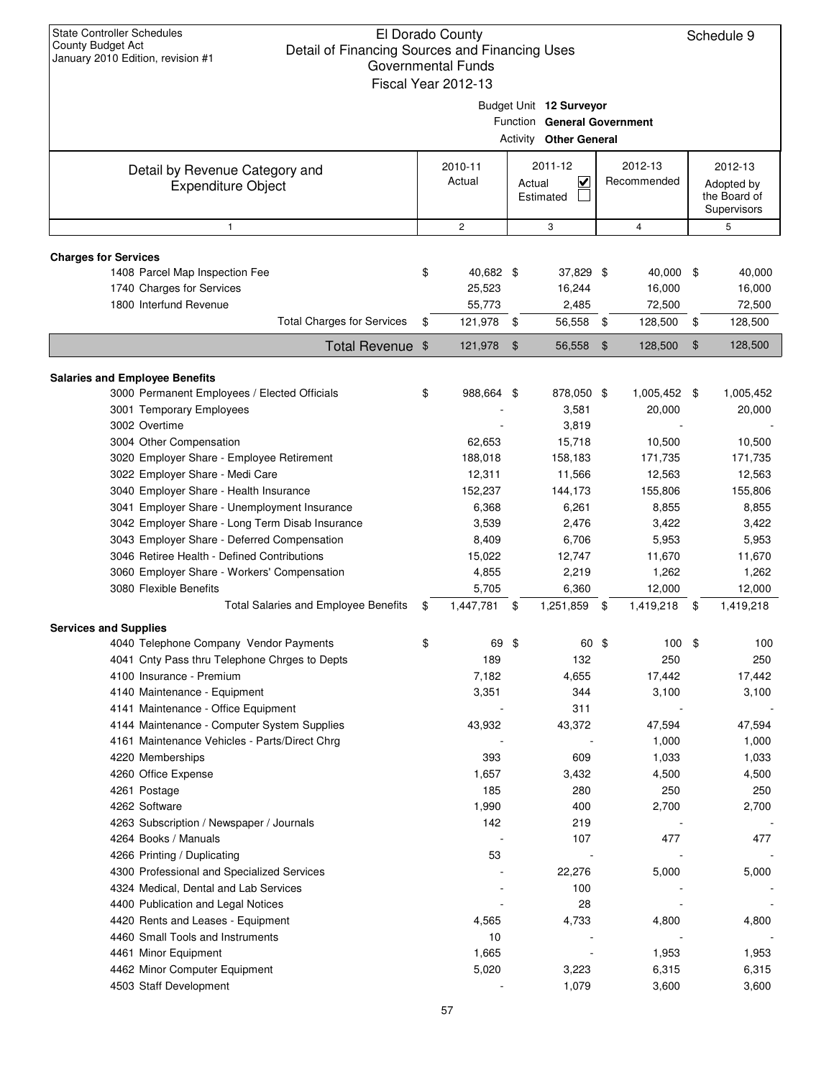|                                                                                                                                    |    | Fiscal Year 2012-13 |               |                                                                                         |               |                        |                     |  |  |                                                |  |                        |                                                      |
|------------------------------------------------------------------------------------------------------------------------------------|----|---------------------|---------------|-----------------------------------------------------------------------------------------|---------------|------------------------|---------------------|--|--|------------------------------------------------|--|------------------------|------------------------------------------------------|
|                                                                                                                                    |    |                     |               | Budget Unit 12 Surveyor<br>Function General Government<br><b>Activity Other General</b> |               |                        |                     |  |  |                                                |  |                        |                                                      |
| Detail by Revenue Category and<br><b>Expenditure Object</b>                                                                        |    | 2010-11<br>Actual   |               |                                                                                         |               |                        |                     |  |  | 2011-12<br>$\checkmark$<br>Actual<br>Estimated |  | 2012-13<br>Recommended | 2012-13<br>Adopted by<br>the Board of<br>Supervisors |
| $\mathbf{1}$                                                                                                                       |    | $\mathbf{2}$        |               | 3                                                                                       |               | 4                      | 5                   |  |  |                                                |  |                        |                                                      |
| <b>Charges for Services</b>                                                                                                        |    |                     |               |                                                                                         |               |                        |                     |  |  |                                                |  |                        |                                                      |
| 1408 Parcel Map Inspection Fee                                                                                                     | \$ | 40,682 \$           |               | 37,829 \$                                                                               |               | 40,000                 | \$<br>40,000        |  |  |                                                |  |                        |                                                      |
| 1740 Charges for Services                                                                                                          |    | 25,523              |               | 16,244                                                                                  |               | 16,000                 | 16,000              |  |  |                                                |  |                        |                                                      |
| 1800 Interfund Revenue                                                                                                             |    | 55,773              |               | 2,485                                                                                   |               | 72,500                 | 72,500              |  |  |                                                |  |                        |                                                      |
| <b>Total Charges for Services</b>                                                                                                  | \$ | 121,978             | \$            | 56,558                                                                                  | \$            | 128,500                | \$<br>128,500       |  |  |                                                |  |                        |                                                      |
| <b>Total Revenue</b>                                                                                                               | \$ | 121,978             | $\frac{1}{2}$ | 56,558                                                                                  | $\frac{1}{2}$ | 128,500                | \$<br>128,500       |  |  |                                                |  |                        |                                                      |
|                                                                                                                                    |    |                     |               |                                                                                         |               |                        |                     |  |  |                                                |  |                        |                                                      |
| <b>Salaries and Employee Benefits</b><br>3000 Permanent Employees / Elected Officials<br>3001 Temporary Employees<br>3002 Overtime | \$ | 988,664 \$          |               | 878,050 \$<br>3,581<br>3,819                                                            |               | 1,005,452 \$<br>20,000 | 1,005,452<br>20,000 |  |  |                                                |  |                        |                                                      |
| 3004 Other Compensation                                                                                                            |    | 62,653              |               | 15,718                                                                                  |               | 10,500                 | 10,500              |  |  |                                                |  |                        |                                                      |
| 3020 Employer Share - Employee Retirement                                                                                          |    | 188,018             |               | 158,183                                                                                 |               | 171,735                | 171,735             |  |  |                                                |  |                        |                                                      |
| 3022 Employer Share - Medi Care                                                                                                    |    | 12,311              |               | 11,566                                                                                  |               | 12,563                 | 12,563              |  |  |                                                |  |                        |                                                      |
| 3040 Employer Share - Health Insurance                                                                                             |    | 152,237             |               | 144,173                                                                                 |               | 155,806                | 155,806             |  |  |                                                |  |                        |                                                      |
| 3041 Employer Share - Unemployment Insurance                                                                                       |    | 6,368               |               | 6,261                                                                                   |               | 8,855                  | 8,855               |  |  |                                                |  |                        |                                                      |
| 3042 Employer Share - Long Term Disab Insurance                                                                                    |    | 3,539               |               | 2,476                                                                                   |               | 3,422                  | 3,422               |  |  |                                                |  |                        |                                                      |
| 3043 Employer Share - Deferred Compensation                                                                                        |    | 8,409               |               | 6,706                                                                                   |               | 5,953                  | 5,953               |  |  |                                                |  |                        |                                                      |
| 3046 Retiree Health - Defined Contributions                                                                                        |    | 15,022              |               | 12,747                                                                                  |               | 11,670                 | 11,670              |  |  |                                                |  |                        |                                                      |
| 3060 Employer Share - Workers' Compensation                                                                                        |    | 4,855               |               | 2,219                                                                                   |               | 1,262                  | 1,262               |  |  |                                                |  |                        |                                                      |
| 3080 Flexible Benefits                                                                                                             |    | 5,705               |               | 6,360                                                                                   |               | 12,000                 | 12,000              |  |  |                                                |  |                        |                                                      |
| Total Salaries and Employee Benefits                                                                                               | \$ | 1,447,781           | \$            | 1,251,859                                                                               | \$            | 1,419,218              | \$<br>1,419,218     |  |  |                                                |  |                        |                                                      |
| <b>Services and Supplies</b>                                                                                                       |    |                     |               |                                                                                         |               |                        |                     |  |  |                                                |  |                        |                                                      |
| 4040 Telephone Company Vendor Payments                                                                                             | \$ | 69 \$               |               | 60 \$                                                                                   |               | 100                    | \$<br>100           |  |  |                                                |  |                        |                                                      |
| 4041 Cnty Pass thru Telephone Chrges to Depts                                                                                      |    | 189                 |               | 132                                                                                     |               | 250                    | 250                 |  |  |                                                |  |                        |                                                      |
| 4100 Insurance - Premium                                                                                                           |    | 7,182               |               | 4,655                                                                                   |               | 17,442                 | 17,442              |  |  |                                                |  |                        |                                                      |
| 4140 Maintenance - Equipment<br>4141 Maintenance - Office Equipment                                                                |    | 3,351               |               | 344<br>311                                                                              |               | 3,100                  | 3,100               |  |  |                                                |  |                        |                                                      |
| 4144 Maintenance - Computer System Supplies                                                                                        |    | 43,932              |               | 43,372                                                                                  |               | 47,594                 | 47,594              |  |  |                                                |  |                        |                                                      |
| 4161 Maintenance Vehicles - Parts/Direct Chrg                                                                                      |    |                     |               |                                                                                         |               | 1,000                  | 1,000               |  |  |                                                |  |                        |                                                      |
| 4220 Memberships                                                                                                                   |    | 393                 |               | 609                                                                                     |               | 1,033                  | 1,033               |  |  |                                                |  |                        |                                                      |
| 4260 Office Expense                                                                                                                |    | 1,657               |               | 3,432                                                                                   |               | 4,500                  | 4,500               |  |  |                                                |  |                        |                                                      |
| 4261 Postage                                                                                                                       |    | 185                 |               | 280                                                                                     |               | 250                    | 250                 |  |  |                                                |  |                        |                                                      |
| 4262 Software                                                                                                                      |    | 1,990               |               | 400                                                                                     |               | 2,700                  | 2,700               |  |  |                                                |  |                        |                                                      |
| 4263 Subscription / Newspaper / Journals                                                                                           |    | 142                 |               | 219                                                                                     |               |                        |                     |  |  |                                                |  |                        |                                                      |
| 4264 Books / Manuals                                                                                                               |    |                     |               | 107                                                                                     |               | 477                    | 477                 |  |  |                                                |  |                        |                                                      |
| 4266 Printing / Duplicating                                                                                                        |    | 53                  |               |                                                                                         |               |                        |                     |  |  |                                                |  |                        |                                                      |
| 4300 Professional and Specialized Services                                                                                         |    |                     |               | 22,276                                                                                  |               | 5,000                  | 5,000               |  |  |                                                |  |                        |                                                      |
| 4324 Medical, Dental and Lab Services                                                                                              |    |                     |               | 100                                                                                     |               |                        |                     |  |  |                                                |  |                        |                                                      |
| 4400 Publication and Legal Notices                                                                                                 |    |                     |               | 28                                                                                      |               |                        |                     |  |  |                                                |  |                        |                                                      |
| 4420 Rents and Leases - Equipment<br>4460 Small Tools and Instruments                                                              |    | 4,565               |               | 4,733                                                                                   |               | 4,800                  | 4,800               |  |  |                                                |  |                        |                                                      |
| 4461 Minor Equipment                                                                                                               |    | 10<br>1,665         |               |                                                                                         |               | 1,953                  | 1,953               |  |  |                                                |  |                        |                                                      |
| 4462 Minor Computer Equipment                                                                                                      |    | 5,020               |               | 3,223                                                                                   |               | 6,315                  | 6,315               |  |  |                                                |  |                        |                                                      |
| 4503 Staff Development                                                                                                             |    |                     |               | 1,079                                                                                   |               | 3,600                  | 3,600               |  |  |                                                |  |                        |                                                      |
|                                                                                                                                    |    |                     |               |                                                                                         |               |                        |                     |  |  |                                                |  |                        |                                                      |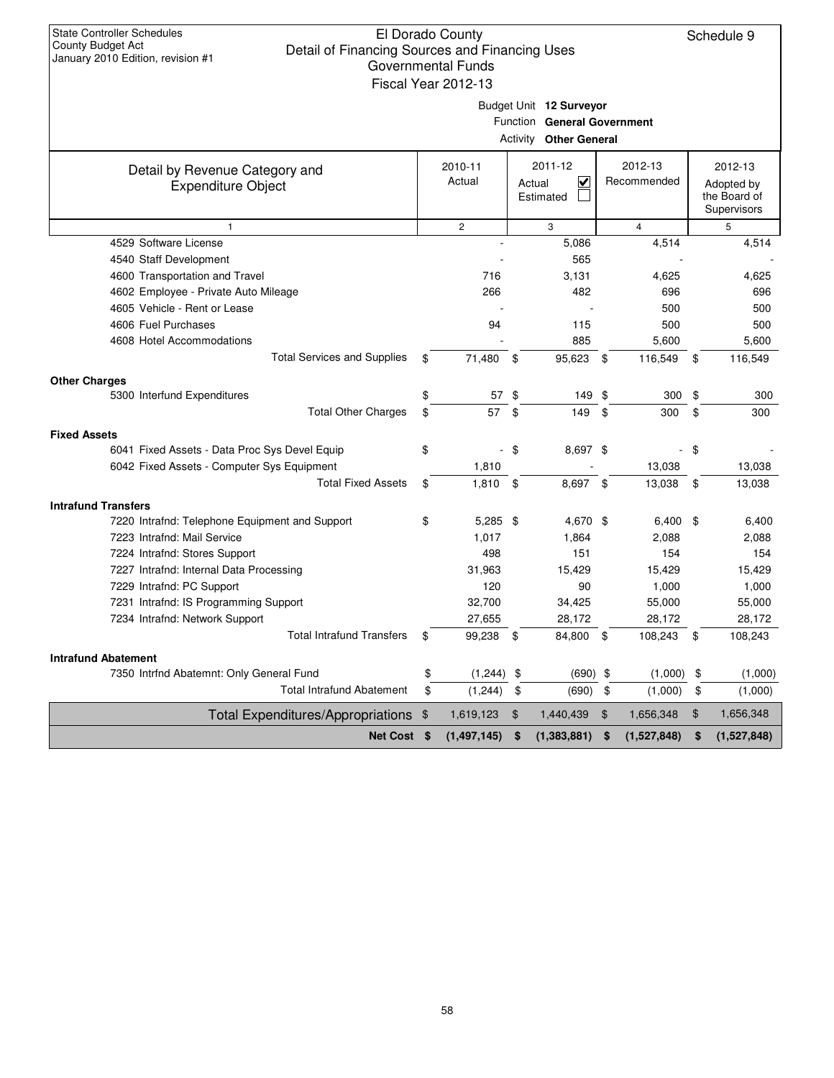|                                                             | Fiscal Year 2012-13 |                |                                                                                         |     |                        |     |                                                      |
|-------------------------------------------------------------|---------------------|----------------|-----------------------------------------------------------------------------------------|-----|------------------------|-----|------------------------------------------------------|
|                                                             |                     |                | Budget Unit 12 Surveyor<br>Function General Government<br><b>Activity Other General</b> |     |                        |     |                                                      |
| Detail by Revenue Category and<br><b>Expenditure Object</b> | 2010-11<br>Actual   |                | 2011-12<br>V<br>Actual<br>Estimated                                                     |     | 2012-13<br>Recommended |     | 2012-13<br>Adopted by<br>the Board of<br>Supervisors |
| $\mathbf{1}$                                                | $\overline{c}$      |                | 3                                                                                       |     | $\overline{4}$         |     | 5                                                    |
| 4529 Software License                                       | $\overline{a}$      |                | 5,086                                                                                   |     | 4,514                  |     | 4,514                                                |
| 4540 Staff Development                                      |                     |                | 565                                                                                     |     |                        |     |                                                      |
| 4600 Transportation and Travel                              | 716                 |                | 3,131                                                                                   |     | 4,625                  |     | 4,625                                                |
| 4602 Employee - Private Auto Mileage                        | 266                 |                | 482                                                                                     |     | 696                    |     | 696                                                  |
| 4605 Vehicle - Rent or Lease                                |                     |                |                                                                                         |     | 500                    |     | 500                                                  |
| 4606 Fuel Purchases                                         | 94                  |                | 115                                                                                     |     | 500                    |     | 500                                                  |
| 4608 Hotel Accommodations                                   |                     |                | 885                                                                                     |     | 5,600                  |     | 5,600                                                |
| <b>Total Services and Supplies</b>                          | \$<br>71,480        | -\$            | 95,623                                                                                  | -\$ | 116,549                | \$  | 116,549                                              |
| <b>Other Charges</b>                                        |                     |                |                                                                                         |     |                        |     |                                                      |
| 5300 Interfund Expenditures                                 | \$<br>57            | \$             | 149                                                                                     | \$  | 300                    | \$  | 300                                                  |
| <b>Total Other Charges</b>                                  | \$<br>57            | \$             | 149                                                                                     | \$  | 300                    | \$  | 300                                                  |
| <b>Fixed Assets</b>                                         |                     |                |                                                                                         |     |                        |     |                                                      |
| 6041 Fixed Assets - Data Proc Sys Devel Equip               | \$                  | - \$           | 8,697 \$                                                                                |     |                        | -\$ |                                                      |
| 6042 Fixed Assets - Computer Sys Equipment                  | 1,810               |                |                                                                                         |     | 13,038                 |     | 13,038                                               |
| <b>Total Fixed Assets</b>                                   | \$<br>$1,810$ \$    |                | 8,697 \$                                                                                |     | 13,038 \$              |     | 13,038                                               |
| <b>Intrafund Transfers</b>                                  |                     |                |                                                                                         |     |                        |     |                                                      |
| 7220 Intrafnd: Telephone Equipment and Support              | \$<br>$5,285$ \$    |                | 4,670 \$                                                                                |     | $6,400$ \$             |     | 6,400                                                |
| 7223 Intrafnd: Mail Service                                 | 1,017               |                | 1,864                                                                                   |     | 2,088                  |     | 2,088                                                |
| 7224 Intrafnd: Stores Support                               | 498                 |                | 151                                                                                     |     | 154                    |     | 154                                                  |
| 7227 Intrafnd: Internal Data Processing                     | 31,963              |                | 15,429                                                                                  |     | 15,429                 |     | 15,429                                               |
| 7229 Intrafnd: PC Support                                   | 120                 |                | 90                                                                                      |     | 1,000                  |     | 1,000                                                |
| 7231 Intrafnd: IS Programming Support                       | 32,700              |                | 34,425                                                                                  |     | 55,000                 |     | 55,000                                               |
| 7234 Intrafnd: Network Support                              | 27,655              |                | 28,172                                                                                  |     | 28,172                 |     | 28,172                                               |
| <b>Total Intrafund Transfers</b>                            | \$<br>99,238 \$     |                | 84,800 \$                                                                               |     | 108,243 \$             |     | 108,243                                              |
| <b>Intrafund Abatement</b>                                  |                     |                |                                                                                         |     |                        |     |                                                      |
| 7350 Intrfnd Abatemnt: Only General Fund                    | \$<br>(1,244)       | \$             | (690)                                                                                   | \$  | (1,000)                | \$  | (1,000)                                              |
| <b>Total Intrafund Abatement</b>                            | \$<br>(1, 244)      | \$             | (690)                                                                                   | \$  | (1,000)                | \$  | (1,000)                                              |
| Total Expenditures/Appropriations \$                        | 1,619,123           | $\mathfrak{F}$ | 1,440,439                                                                               | \$  | 1,656,348              | \$  | 1,656,348                                            |
| Net Cost \$                                                 | (1, 497, 145)       | \$             | (1,383,881)                                                                             | \$  | (1,527,848)            | \$  | (1,527,848)                                          |
|                                                             |                     |                |                                                                                         |     |                        |     |                                                      |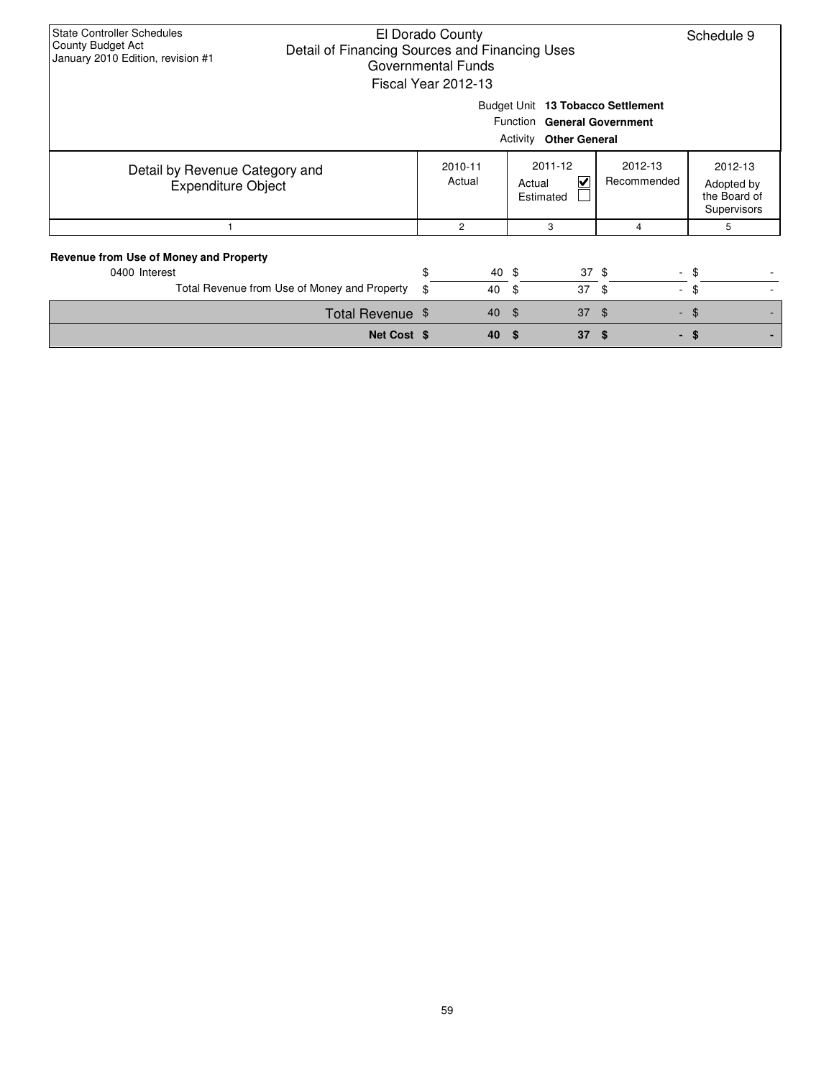| <b>State Controller Schedules</b><br>El Dorado County<br>County Budget Act<br>Detail of Financing Sources and Financing Uses<br>January 2010 Edition, revision #1<br>Governmental Funds<br>Fiscal Year 2012-13 |                   | Schedule 9 |                                                                                  |                  |                                                      |  |  |  |  |  |  |  |
|----------------------------------------------------------------------------------------------------------------------------------------------------------------------------------------------------------------|-------------------|------------|----------------------------------------------------------------------------------|------------------|------------------------------------------------------|--|--|--|--|--|--|--|
| Budget Unit 13 Tobacco Settlement<br>Function General Government<br><b>Activity Other General</b>                                                                                                              |                   |            |                                                                                  |                  |                                                      |  |  |  |  |  |  |  |
| Detail by Revenue Category and<br><b>Expenditure Object</b>                                                                                                                                                    | 2010-11<br>Actual |            | 2011-12<br>2012-13<br>$\blacktriangledown$<br>Recommended<br>Actual<br>Estimated |                  | 2012-13<br>Adopted by<br>the Board of<br>Supervisors |  |  |  |  |  |  |  |
|                                                                                                                                                                                                                | $\overline{c}$    |            | 3                                                                                | 4                | 5                                                    |  |  |  |  |  |  |  |
| Revenue from Use of Money and Property<br>0400 Interest                                                                                                                                                        | \$                | 40 \$      |                                                                                  | $37 \text{ }$ \$ | - \$                                                 |  |  |  |  |  |  |  |
| Total Revenue from Use of Money and Property                                                                                                                                                                   | \$                | 40         | 37<br>- \$                                                                       | - \$             | $-$ \$                                               |  |  |  |  |  |  |  |
| Total Revenue \$                                                                                                                                                                                               |                   | 40         | 37<br>්                                                                          | \$               | $-$ \$                                               |  |  |  |  |  |  |  |
| Net Cost \$                                                                                                                                                                                                    |                   | 40         | 37<br>-S                                                                         | \$               | - \$                                                 |  |  |  |  |  |  |  |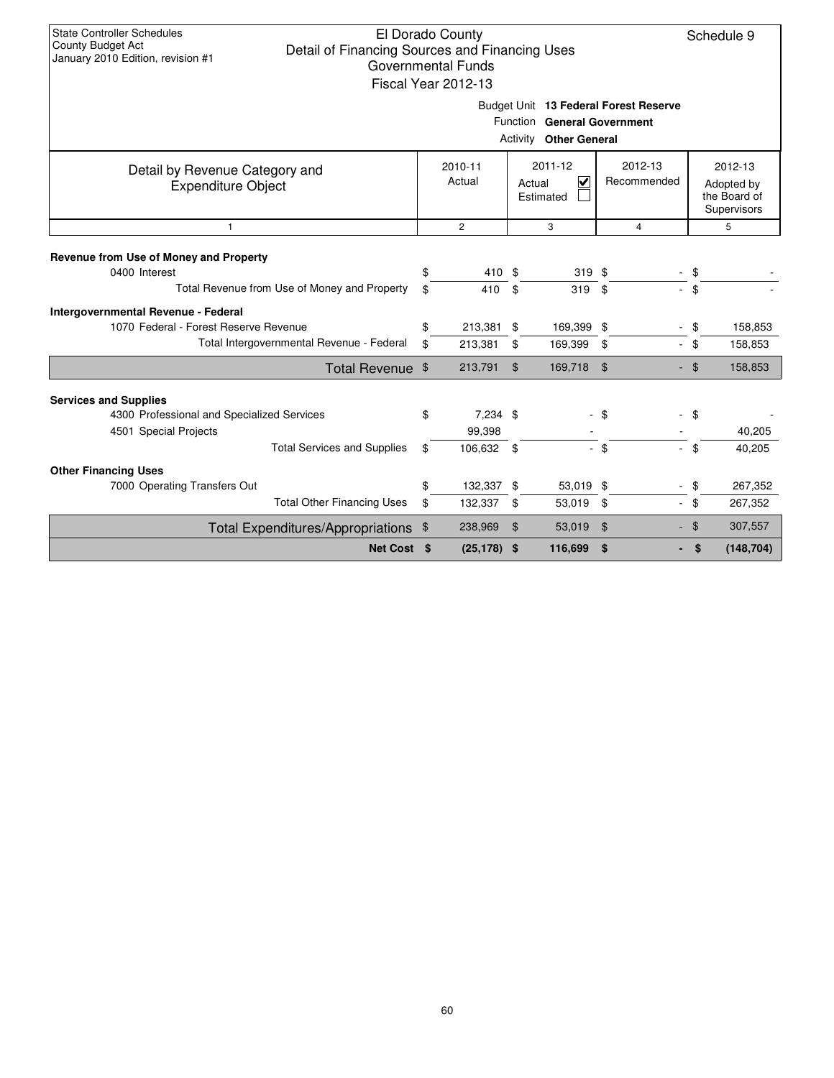|                                                                                                              |                   | Governmental Funds<br>Fiscal Year 2012-13 |                                                           |               |                        |        |                                                      |  |  |  |  |  |
|--------------------------------------------------------------------------------------------------------------|-------------------|-------------------------------------------|-----------------------------------------------------------|---------------|------------------------|--------|------------------------------------------------------|--|--|--|--|--|
| Budget Unit 13 Federal Forest Reserve<br><b>Function General Government</b><br><b>Activity Other General</b> |                   |                                           |                                                           |               |                        |        |                                                      |  |  |  |  |  |
| Detail by Revenue Category and<br><b>Expenditure Object</b>                                                  | 2010-11<br>Actual |                                           | 2011-12<br>$\overline{\mathbf{v}}$<br>Actual<br>Estimated |               | 2012-13<br>Recommended |        | 2012-13<br>Adopted by<br>the Board of<br>Supervisors |  |  |  |  |  |
| 1                                                                                                            |                   | $\overline{c}$                            |                                                           | 3             | 4                      |        | 5                                                    |  |  |  |  |  |
| Revenue from Use of Money and Property                                                                       |                   |                                           |                                                           |               |                        |        |                                                      |  |  |  |  |  |
| 0400 Interest                                                                                                | \$                | 410                                       | \$                                                        | $319$ \$      |                        | - \$   |                                                      |  |  |  |  |  |
| Total Revenue from Use of Money and Property                                                                 | \$                | 410                                       | \$                                                        | 319           | \$                     | \$     |                                                      |  |  |  |  |  |
| Intergovernmental Revenue - Federal                                                                          |                   |                                           |                                                           |               |                        |        |                                                      |  |  |  |  |  |
| 1070 Federal - Forest Reserve Revenue                                                                        | \$                | 213,381                                   | \$                                                        | 169,399 \$    |                        | - \$   | 158,853                                              |  |  |  |  |  |
| Total Intergovernmental Revenue - Federal                                                                    | \$                | 213,381                                   | \$                                                        | 169,399       | \$                     | - \$   | 158,853                                              |  |  |  |  |  |
| Total Revenue \$                                                                                             |                   | 213,791                                   | $\mathfrak{L}$                                            | 169,718       | \$                     | $-$ \$ | 158,853                                              |  |  |  |  |  |
| <b>Services and Supplies</b>                                                                                 |                   |                                           |                                                           |               |                        |        |                                                      |  |  |  |  |  |
| 4300 Professional and Specialized Services                                                                   | \$                | 7,234 \$                                  |                                                           | $\frac{1}{2}$ | \$                     | - \$   |                                                      |  |  |  |  |  |
| 4501 Special Projects                                                                                        |                   | 99,398                                    |                                                           |               |                        |        | 40,205                                               |  |  |  |  |  |
| <b>Total Services and Supplies</b>                                                                           | \$                | 106,632 \$                                |                                                           |               | - \$                   | \$     | 40,205                                               |  |  |  |  |  |
| <b>Other Financing Uses</b>                                                                                  |                   |                                           |                                                           |               |                        |        |                                                      |  |  |  |  |  |
| 7000 Operating Transfers Out                                                                                 | \$                | 132,337 \$                                |                                                           | 53,019 \$     |                        | - \$   | 267,352                                              |  |  |  |  |  |
| <b>Total Other Financing Uses</b>                                                                            | \$                | 132,337                                   | \$                                                        | 53,019        | \$                     | - \$   | 267,352                                              |  |  |  |  |  |
| <b>Total Expenditures/Appropriations</b>                                                                     | \$                | 238,969                                   | $\mathfrak{F}$                                            | 53,019        | \$                     | $-$ \$ | 307,557                                              |  |  |  |  |  |
| Net Cost \$                                                                                                  |                   | $(25, 178)$ \$                            |                                                           | 116,699       | \$                     | \$     | (148, 704)                                           |  |  |  |  |  |
|                                                                                                              |                   |                                           |                                                           |               |                        |        |                                                      |  |  |  |  |  |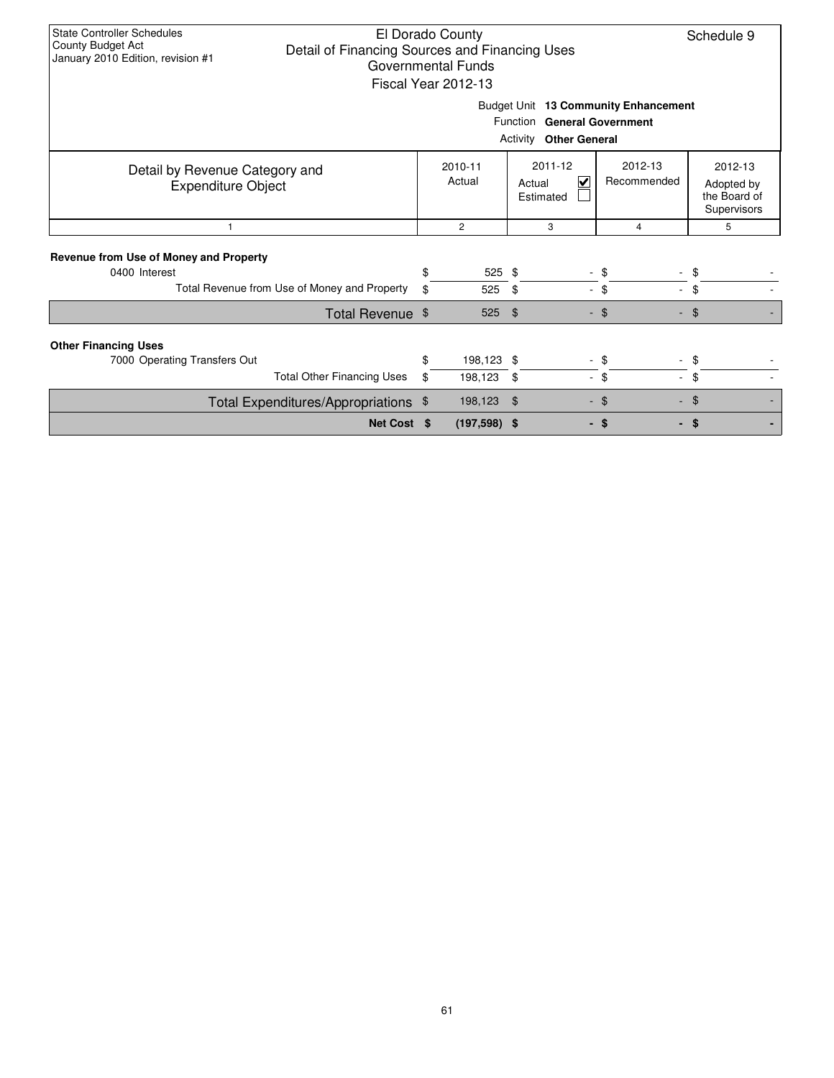| <b>State Controller Schedules</b><br>El Dorado County<br>County Budget Act<br>Detail of Financing Sources and Financing Uses<br>January 2010 Edition, revision #1<br>Governmental Funds<br>Fiscal Year 2012-13 |  |    |                   |                                |                             |    |                                                      |  |  |  |  |
|----------------------------------------------------------------------------------------------------------------------------------------------------------------------------------------------------------------|--|----|-------------------|--------------------------------|-----------------------------|----|------------------------------------------------------|--|--|--|--|
| Budget Unit 13 Community Enhancement<br><b>Function General Government</b><br>Activity<br><b>Other General</b>                                                                                                 |  |    |                   |                                |                             |    |                                                      |  |  |  |  |
| Detail by Revenue Category and<br><b>Expenditure Object</b>                                                                                                                                                    |  |    | 2010-11<br>Actual | 2011-12<br>Actual<br>Estimated | 2012-13<br>V<br>Recommended |    | 2012-13<br>Adopted by<br>the Board of<br>Supervisors |  |  |  |  |
| $\mathbf{1}$                                                                                                                                                                                                   |  |    | $\overline{2}$    | 3                              |                             | 4  | 5                                                    |  |  |  |  |
| Revenue from Use of Money and Property<br>0400 Interest                                                                                                                                                        |  | \$ | 525 \$            |                                | \$<br>$\sim$                |    |                                                      |  |  |  |  |
| Total Revenue from Use of Money and Property                                                                                                                                                                   |  | \$ | 525               | \$                             | - \$                        | ÷. | \$                                                   |  |  |  |  |
| Total Revenue \$                                                                                                                                                                                               |  |    | 525               | $\mathfrak{L}$                 | - \$                        |    | \$                                                   |  |  |  |  |
| <b>Other Financing Uses</b>                                                                                                                                                                                    |  |    |                   |                                |                             |    |                                                      |  |  |  |  |
| 7000 Operating Transfers Out                                                                                                                                                                                   |  | \$ | 198,123 \$        |                                | \$                          |    |                                                      |  |  |  |  |
| <b>Total Other Financing Uses</b>                                                                                                                                                                              |  | \$ | 198,123           | \$                             | - \$                        | ÷. | \$                                                   |  |  |  |  |
| Total Expenditures/Appropriations \$                                                                                                                                                                           |  |    | 198,123           | $\mathfrak{L}$                 | \$<br>÷.                    |    | \$                                                   |  |  |  |  |
| Net Cost \$                                                                                                                                                                                                    |  |    | $(197,598)$ \$    |                                | - \$                        |    | \$                                                   |  |  |  |  |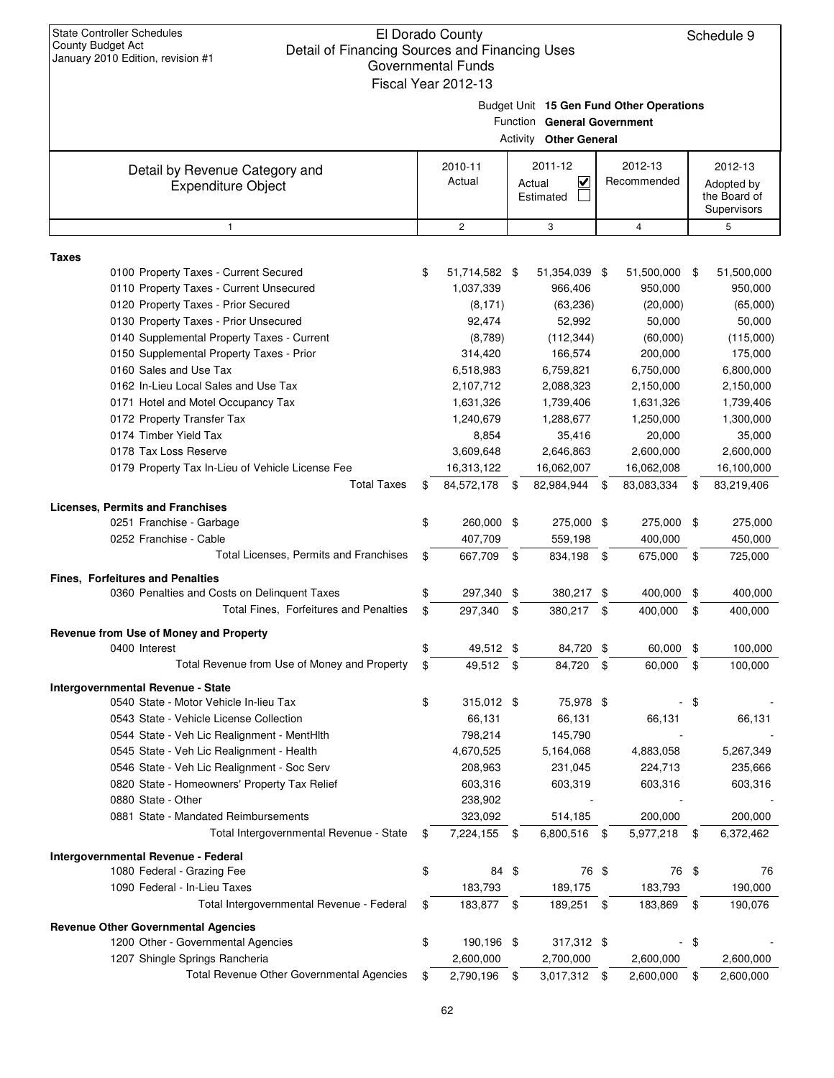|                                                                                  | <u>UUVUIIIIIIEIIIAI LUIIUS</u><br>Fiscal Year 2012-13 |                                                              |      |                                          |      |                                           |
|----------------------------------------------------------------------------------|-------------------------------------------------------|--------------------------------------------------------------|------|------------------------------------------|------|-------------------------------------------|
|                                                                                  |                                                       | Function General Government<br><b>Activity Other General</b> |      | Budget Unit 15 Gen Fund Other Operations |      |                                           |
|                                                                                  | 2010-11                                               | 2011-12                                                      |      | 2012-13                                  |      | 2012-13                                   |
| Detail by Revenue Category and<br><b>Expenditure Object</b>                      | Actual                                                | $\overline{\mathbf{v}}$<br>Actual<br>Estimated               |      | Recommended                              |      | Adopted by<br>the Board of<br>Supervisors |
| $\mathbf{1}$                                                                     | $\overline{c}$                                        | 3                                                            |      | 4                                        |      | 5                                         |
| <b>Taxes</b>                                                                     |                                                       |                                                              |      |                                          |      |                                           |
| 0100 Property Taxes - Current Secured                                            | \$<br>51,714,582 \$                                   | 51,354,039 \$                                                |      | 51,500,000                               | \$   | 51,500,000                                |
| 0110 Property Taxes - Current Unsecured                                          | 1,037,339                                             | 966,406                                                      |      | 950,000                                  |      | 950,000                                   |
| 0120 Property Taxes - Prior Secured                                              | (8, 171)                                              | (63, 236)                                                    |      | (20,000)                                 |      | (65,000)                                  |
| 0130 Property Taxes - Prior Unsecured                                            | 92,474                                                | 52,992                                                       |      | 50,000                                   |      | 50,000                                    |
| 0140 Supplemental Property Taxes - Current                                       | (8,789)                                               | (112, 344)                                                   |      | (60,000)                                 |      | (115,000)                                 |
| 0150 Supplemental Property Taxes - Prior                                         | 314,420                                               | 166,574                                                      |      | 200,000                                  |      | 175,000                                   |
| 0160 Sales and Use Tax                                                           | 6,518,983                                             | 6,759,821                                                    |      | 6,750,000                                |      | 6,800,000                                 |
| 0162 In-Lieu Local Sales and Use Tax                                             | 2,107,712                                             | 2,088,323                                                    |      | 2,150,000                                |      | 2,150,000                                 |
| 0171 Hotel and Motel Occupancy Tax                                               | 1,631,326                                             | 1,739,406                                                    |      | 1,631,326                                |      | 1,739,406                                 |
| 0172 Property Transfer Tax                                                       | 1,240,679                                             | 1,288,677                                                    |      | 1,250,000                                |      | 1,300,000                                 |
| 0174 Timber Yield Tax                                                            | 8,854                                                 | 35,416                                                       |      | 20,000                                   |      | 35,000                                    |
| 0178 Tax Loss Reserve                                                            | 3,609,648                                             | 2,646,863                                                    |      | 2,600,000                                |      | 2,600,000                                 |
| 0179 Property Tax In-Lieu of Vehicle License Fee                                 | 16,313,122                                            | 16,062,007                                                   |      | 16,062,008                               |      | 16,100,000                                |
| <b>Total Taxes</b>                                                               | \$<br>84,572,178                                      | \$<br>82,984,944                                             | \$   | 83,083,334                               | \$   | 83,219,406                                |
| <b>Licenses, Permits and Franchises</b>                                          |                                                       |                                                              |      |                                          |      |                                           |
| 0251 Franchise - Garbage                                                         | \$<br>260,000 \$                                      | 275,000 \$                                                   |      | 275,000                                  | \$   | 275,000                                   |
| 0252 Franchise - Cable                                                           | 407,709                                               | 559,198                                                      |      | 400,000                                  |      | 450,000                                   |
| Total Licenses, Permits and Franchises                                           | \$<br>667,709 \$                                      | 834,198                                                      | - \$ | 675,000                                  | \$   | 725,000                                   |
| Fines, Forfeitures and Penalties                                                 |                                                       |                                                              |      |                                          |      |                                           |
| 0360 Penalties and Costs on Delinquent Taxes                                     | \$<br>297,340 \$                                      | 380,217 \$                                                   |      | 400,000                                  | \$   | 400,000                                   |
| Total Fines, Forfeitures and Penalties                                           | \$<br>297,340                                         | \$<br>380,217 \$                                             |      | 400,000                                  | \$   | 400,000                                   |
| Revenue from Use of Money and Property                                           |                                                       |                                                              |      |                                          |      |                                           |
| 0400 Interest                                                                    | \$<br>49,512 \$                                       | 84,720 \$                                                    |      | 60,000                                   | \$   | 100,000                                   |
| Total Revenue from Use of Money and Property                                     | \$<br>49,512 \$                                       | 84,720 \$                                                    |      | 60,000                                   | \$   | 100,000                                   |
| Intergovernmental Revenue - State                                                |                                                       |                                                              |      |                                          |      |                                           |
| 0540 State - Motor Vehicle In-lieu Tax                                           | \$<br>315,012 \$                                      | 75,978 \$                                                    |      |                                          | \$   |                                           |
| 0543 State - Vehicle License Collection                                          | 66,131                                                | 66,131                                                       |      | 66,131                                   |      | 66,131                                    |
| 0544 State - Veh Lic Realignment - MentHith                                      | 798,214                                               | 145,790                                                      |      |                                          |      |                                           |
| 0545 State - Veh Lic Realignment - Health                                        | 4,670,525                                             | 5,164,068                                                    |      | 4,883,058                                |      | 5,267,349                                 |
| 0546 State - Veh Lic Realignment - Soc Serv                                      | 208,963                                               | 231,045                                                      |      | 224,713                                  |      | 235,666                                   |
| 0820 State - Homeowners' Property Tax Relief                                     | 603,316                                               | 603,319                                                      |      | 603,316                                  |      | 603,316                                   |
| 0880 State - Other                                                               | 238,902                                               |                                                              |      |                                          |      |                                           |
| 0881 State - Mandated Reimbursements<br>Total Intergovernmental Revenue - State  | 323,092                                               | 514,185                                                      |      | 200,000                                  |      | 200,000                                   |
|                                                                                  | \$<br>7,224,155 \$                                    | 6,800,516                                                    | -\$  | 5,977,218 \$                             |      | 6,372,462                                 |
| Intergovernmental Revenue - Federal                                              |                                                       |                                                              |      |                                          |      |                                           |
| 1080 Federal - Grazing Fee                                                       | \$<br>84 \$                                           | 76 \$                                                        |      | 76 \$                                    |      | 76                                        |
| 1090 Federal - In-Lieu Taxes<br>Total Intergovernmental Revenue - Federal        | \$<br>183,793<br>183,877 \$                           | 189,175<br>189,251                                           | \$   | 183,793<br>183,869                       | \$   | 190,000<br>190,076                        |
|                                                                                  |                                                       |                                                              |      |                                          |      |                                           |
| <b>Revenue Other Governmental Agencies</b><br>1200 Other - Governmental Agencies | \$<br>190,196 \$                                      | 317,312 \$                                                   |      |                                          | - \$ |                                           |
| 1207 Shingle Springs Rancheria                                                   | 2,600,000                                             | 2,700,000                                                    |      | 2,600,000                                |      | 2,600,000                                 |
| Total Revenue Other Governmental Agencies                                        | \$<br>2,790,196 \$                                    | 3,017,312 \$                                                 |      | 2,600,000                                | \$   | 2,600,000                                 |
|                                                                                  |                                                       |                                                              |      |                                          |      |                                           |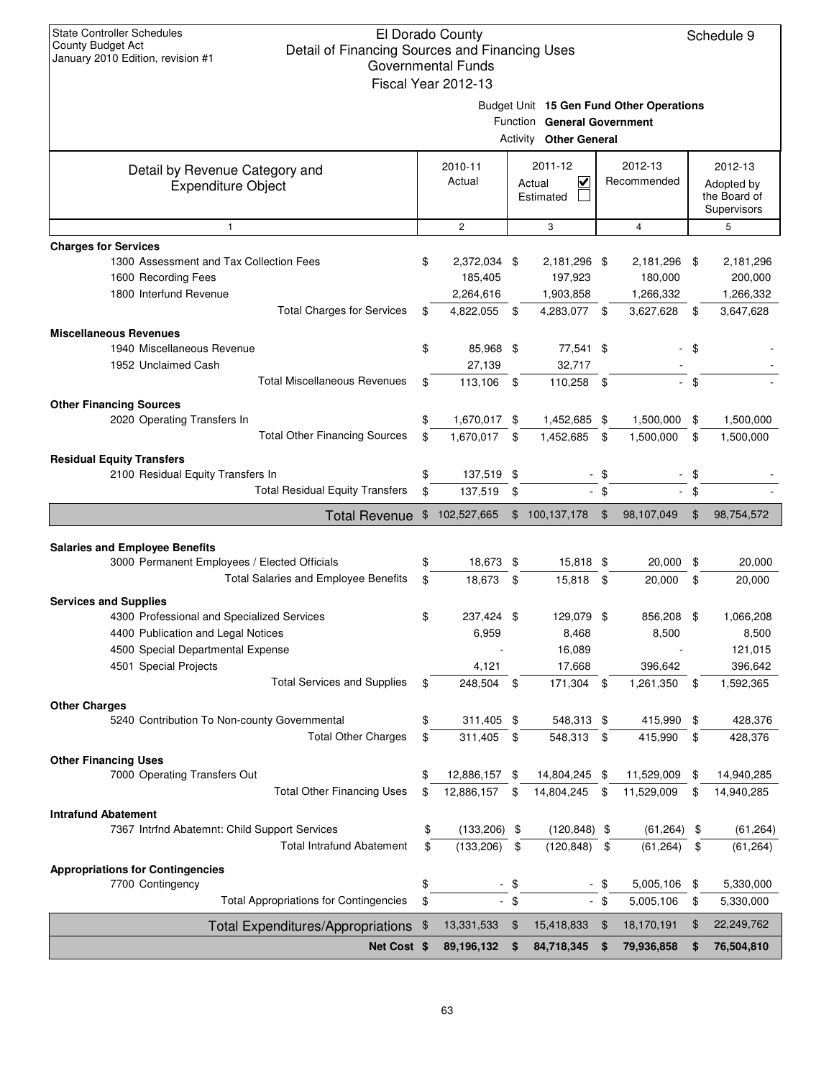|                                                                                                                                                                                                                      |                                                                                                          | Governmental Funds<br>Fiscal Year 2012-13 |                |                                                    |                |                                          |                |                                                       |
|----------------------------------------------------------------------------------------------------------------------------------------------------------------------------------------------------------------------|----------------------------------------------------------------------------------------------------------|-------------------------------------------|----------------|----------------------------------------------------|----------------|------------------------------------------|----------------|-------------------------------------------------------|
|                                                                                                                                                                                                                      | Budget Unit 15 Gen Fund Other Operations<br>Function General Government<br><b>Activity Other General</b> |                                           |                |                                                    |                |                                          |                |                                                       |
| Detail by Revenue Category and<br><b>Expenditure Object</b>                                                                                                                                                          |                                                                                                          | 2010-11<br>Actual                         |                | 2011-12<br>$\checkmark$<br>Actual<br>Estimated     |                | 2012-13<br>Recommended                   |                | 2012-13<br>Adopted by<br>the Board of<br>Supervisors  |
| $\mathbf{1}$                                                                                                                                                                                                         |                                                                                                          | $\overline{2}$                            |                | 3                                                  |                | $\overline{4}$                           |                | 5                                                     |
| <b>Charges for Services</b><br>1300 Assessment and Tax Collection Fees<br>1600 Recording Fees<br>1800 Interfund Revenue                                                                                              | \$                                                                                                       | 2,372,034 \$<br>185,405<br>2,264,616      |                | 2,181,296 \$<br>197,923<br>1,903,858               |                | 2,181,296<br>180,000<br>1,266,332        | \$             | 2,181,296<br>200,000<br>1,266,332                     |
| <b>Total Charges for Services</b>                                                                                                                                                                                    | \$                                                                                                       | 4,822,055                                 | \$             | 4,283,077                                          | \$             | 3,627,628                                | \$             | 3,647,628                                             |
| <b>Miscellaneous Revenues</b><br>1940 Miscellaneous Revenue<br>1952 Unclaimed Cash<br><b>Total Miscellaneous Revenues</b>                                                                                            | \$<br>\$                                                                                                 | 85,968 \$<br>27,139<br>113.106 \$         |                | 77,541 \$<br>32,717<br>110,258 \$                  |                |                                          | \$<br>$-$ \$   |                                                       |
| <b>Other Financing Sources</b><br>2020 Operating Transfers In<br><b>Total Other Financing Sources</b>                                                                                                                | \$<br>\$                                                                                                 | 1,670,017 \$<br>1,670,017 \$              |                | 1,452,685 \$<br>1,452,685                          | \$             | 1,500,000<br>1,500,000                   | \$<br>\$       | 1,500,000<br>1,500,000                                |
| <b>Residual Equity Transfers</b><br>2100 Residual Equity Transfers In<br><b>Total Residual Equity Transfers</b>                                                                                                      | \$<br>\$                                                                                                 | 137,519 \$<br>137,519                     | $\sqrt{3}$     |                                                    | - \$<br>$-$ \$ |                                          | \$<br>\$       |                                                       |
| <b>Total Revenue</b>                                                                                                                                                                                                 | $\mathfrak{F}$                                                                                           | 102,527,665                               |                | \$100,137,178                                      | $\sqrt[6]{3}$  | 98,107,049                               | $\mathfrak{F}$ | 98,754,572                                            |
| <b>Salaries and Employee Benefits</b><br>3000 Permanent Employees / Elected Officials<br><b>Total Salaries and Employee Benefits</b>                                                                                 | \$<br>\$                                                                                                 | 18,673 \$<br>18,673 \$                    |                | 15,818 \$<br>15,818 \$                             |                | 20,000<br>20,000                         | \$<br>\$       | 20,000<br>20,000                                      |
| <b>Services and Supplies</b><br>4300 Professional and Specialized Services<br>4400 Publication and Legal Notices<br>4500 Special Departmental Expense<br>4501 Special Projects<br><b>Total Services and Supplies</b> | \$<br>\$                                                                                                 | 237,424 \$<br>6,959<br>4,121<br>248,504   | -\$            | 129,079 \$<br>8,468<br>16,089<br>17,668<br>171,304 | \$             | 856,208<br>8,500<br>396,642<br>1,261,350 | \$<br>\$       | 1,066,208<br>8,500<br>121,015<br>396,642<br>1,592,365 |
| <b>Other Charges</b><br>5240 Contribution To Non-county Governmental<br><b>Total Other Charges</b>                                                                                                                   | \$<br>\$                                                                                                 | 311,405<br>311,405                        | \$<br>\$       | 548,313 \$<br>548,313                              | -\$            | 415,990<br>415,990                       | \$<br>\$       | 428,376                                               |
| <b>Other Financing Uses</b><br>7000 Operating Transfers Out<br><b>Total Other Financing Uses</b>                                                                                                                     | \$<br>\$                                                                                                 | 12,886,157 \$<br>12,886,157               | \$             | 14,804,245 \$<br>14,804,245                        | \$             | 11,529,009<br>11,529,009                 | \$<br>\$       | 428,376<br>14,940,285<br>14,940,285                   |
| <b>Intrafund Abatement</b><br>7367 Intrfnd Abatemnt: Child Support Services<br><b>Total Intrafund Abatement</b>                                                                                                      | \$<br>\$                                                                                                 | (133, 206)<br>(133, 206)                  | \$<br>\$       | $(120, 848)$ \$<br>(120, 848)                      | \$             | (61, 264)<br>(61, 264)                   | \$<br>\$       | (61, 264)<br>(61, 264)                                |
| <b>Appropriations for Contingencies</b><br>7700 Contingency<br><b>Total Appropriations for Contingencies</b>                                                                                                         | \$<br>\$                                                                                                 |                                           | $-$ \$<br>- \$ |                                                    | - \$<br>- \$   | 5,005,106<br>5,005,106                   | \$<br>\$       | 5,330,000<br>5,330,000                                |
| Total Expenditures/Appropriations \$                                                                                                                                                                                 |                                                                                                          | 13,331,533                                | \$             | 15,418,833                                         | $\mathfrak{F}$ | 18,170,191                               | \$             | 22,249,762                                            |
| Net Cost \$                                                                                                                                                                                                          |                                                                                                          | 89,196,132 \$                             |                | 84,718,345 \$                                      |                | 79,936,858                               | \$             | 76,504,810                                            |
|                                                                                                                                                                                                                      |                                                                                                          |                                           |                |                                                    |                |                                          |                |                                                       |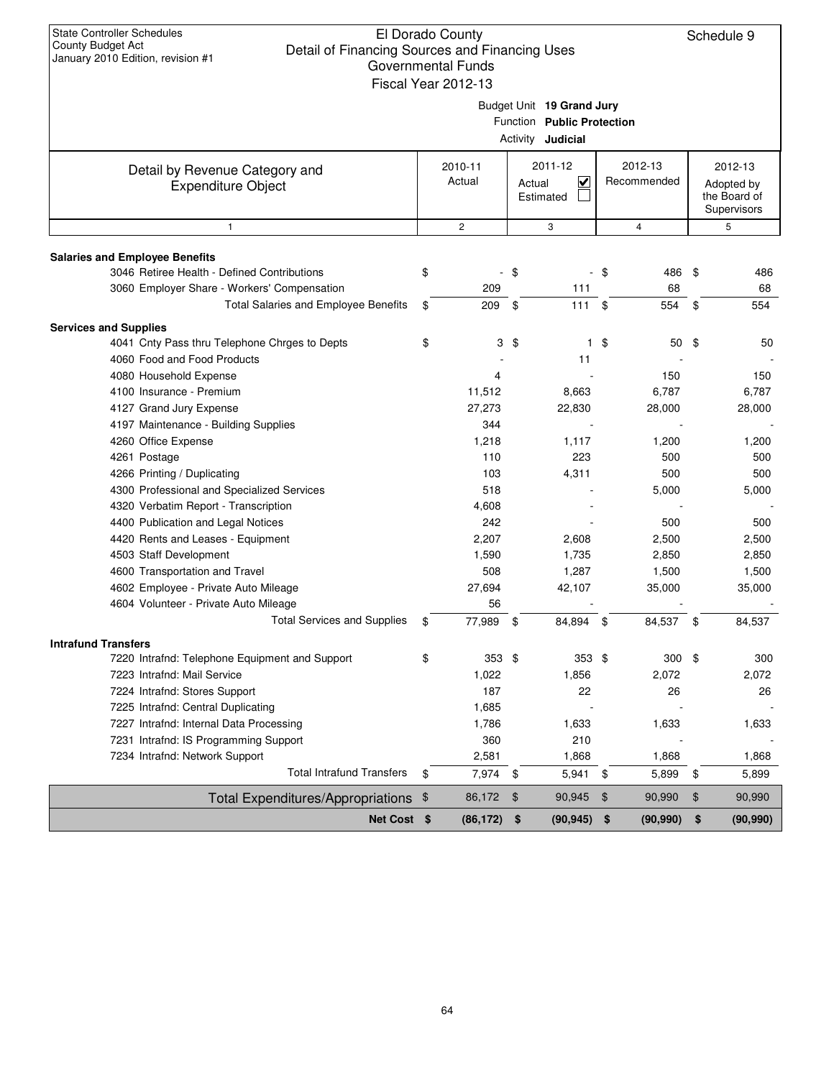|                                                             |                                                                                     | Fiscal Year 2012-13 |                                                           |               |                        |            |                                                      |  |  |  |  |  |  |
|-------------------------------------------------------------|-------------------------------------------------------------------------------------|---------------------|-----------------------------------------------------------|---------------|------------------------|------------|------------------------------------------------------|--|--|--|--|--|--|
|                                                             | Budget Unit 19 Grand Jury<br>Function Public Protection<br>Activity <b>Judicial</b> |                     |                                                           |               |                        |            |                                                      |  |  |  |  |  |  |
| Detail by Revenue Category and<br><b>Expenditure Object</b> |                                                                                     | 2010-11<br>Actual   | 2011-12<br>$\overline{\mathbf{v}}$<br>Actual<br>Estimated |               | 2012-13<br>Recommended |            | 2012-13<br>Adopted by<br>the Board of<br>Supervisors |  |  |  |  |  |  |
| 1                                                           |                                                                                     | $\mathbf{2}$        | 3                                                         |               | 4                      |            | 5                                                    |  |  |  |  |  |  |
| <b>Salaries and Employee Benefits</b>                       |                                                                                     |                     |                                                           |               |                        |            |                                                      |  |  |  |  |  |  |
| 3046 Retiree Health - Defined Contributions                 | \$                                                                                  |                     | - \$                                                      | - \$          | 486 \$                 |            | 486                                                  |  |  |  |  |  |  |
| 3060 Employer Share - Workers' Compensation                 |                                                                                     | 209                 | 111                                                       |               | 68                     |            | 68                                                   |  |  |  |  |  |  |
| Total Salaries and Employee Benefits                        | \$                                                                                  | 209 \$              | $111 \text{ }$ \$                                         |               | 554                    | $^{\circ}$ | 554                                                  |  |  |  |  |  |  |
| <b>Services and Supplies</b>                                |                                                                                     |                     |                                                           |               |                        |            |                                                      |  |  |  |  |  |  |
| 4041 Cnty Pass thru Telephone Chrges to Depts               | \$                                                                                  |                     | $3 \text{ } $$<br>1.                                      | \$            | 50 <sup>°</sup>        |            | 50                                                   |  |  |  |  |  |  |
| 4060 Food and Food Products                                 |                                                                                     |                     | 11                                                        |               |                        |            |                                                      |  |  |  |  |  |  |
| 4080 Household Expense                                      |                                                                                     | 4                   |                                                           |               | 150                    |            | 150                                                  |  |  |  |  |  |  |
| 4100 Insurance - Premium                                    |                                                                                     | 11,512              | 8,663                                                     |               | 6,787                  |            | 6,787                                                |  |  |  |  |  |  |
| 4127 Grand Jury Expense                                     |                                                                                     | 27,273              | 22,830                                                    |               | 28,000                 |            | 28,000                                               |  |  |  |  |  |  |
| 4197 Maintenance - Building Supplies                        |                                                                                     | 344                 |                                                           |               |                        |            |                                                      |  |  |  |  |  |  |
| 4260 Office Expense                                         |                                                                                     | 1,218               | 1,117                                                     |               | 1,200                  |            | 1,200                                                |  |  |  |  |  |  |
| 4261 Postage                                                |                                                                                     | 110                 | 223                                                       |               | 500                    |            | 500                                                  |  |  |  |  |  |  |
| 4266 Printing / Duplicating                                 |                                                                                     | 103                 | 4,311                                                     |               | 500                    |            | 500                                                  |  |  |  |  |  |  |
| 4300 Professional and Specialized Services                  |                                                                                     | 518                 |                                                           |               | 5,000                  |            | 5,000                                                |  |  |  |  |  |  |
| 4320 Verbatim Report - Transcription                        |                                                                                     | 4,608               |                                                           |               |                        |            |                                                      |  |  |  |  |  |  |
| 4400 Publication and Legal Notices                          |                                                                                     | 242                 |                                                           |               | 500                    |            | 500                                                  |  |  |  |  |  |  |
| 4420 Rents and Leases - Equipment                           |                                                                                     | 2,207               | 2,608                                                     |               | 2,500                  |            | 2,500                                                |  |  |  |  |  |  |
| 4503 Staff Development                                      |                                                                                     | 1,590               | 1,735                                                     |               | 2,850                  |            | 2,850                                                |  |  |  |  |  |  |
| 4600 Transportation and Travel                              |                                                                                     | 508                 | 1,287                                                     |               | 1,500                  |            | 1,500                                                |  |  |  |  |  |  |
| 4602 Employee - Private Auto Mileage                        |                                                                                     | 27,694              | 42,107                                                    |               | 35,000                 |            | 35,000                                               |  |  |  |  |  |  |
| 4604 Volunteer - Private Auto Mileage                       |                                                                                     | 56                  |                                                           |               |                        |            |                                                      |  |  |  |  |  |  |
| <b>Total Services and Supplies</b>                          | \$                                                                                  | 77,989 \$           | 84,894 \$                                                 |               | 84,537 \$              |            | 84,537                                               |  |  |  |  |  |  |
| <b>Intrafund Transfers</b>                                  |                                                                                     |                     |                                                           |               |                        |            |                                                      |  |  |  |  |  |  |
| 7220 Intrafnd: Telephone Equipment and Support              | \$                                                                                  | 353 \$              | $353$ \$                                                  |               | $300*$                 |            | 300                                                  |  |  |  |  |  |  |
| 7223 Intrafnd: Mail Service                                 |                                                                                     | 1,022               | 1,856                                                     |               | 2,072                  |            | 2,072                                                |  |  |  |  |  |  |
| 7224 Intrafnd: Stores Support                               |                                                                                     | 187                 | 22                                                        |               | 26                     |            | 26                                                   |  |  |  |  |  |  |
| 7225 Intrafnd: Central Duplicating                          |                                                                                     | 1,685               |                                                           |               |                        |            |                                                      |  |  |  |  |  |  |
| 7227 Intrafnd: Internal Data Processing                     |                                                                                     | 1,786               | 1,633                                                     |               | 1,633                  |            | 1,633                                                |  |  |  |  |  |  |
| 7231 Intrafnd: IS Programming Support                       |                                                                                     | 360                 | 210                                                       |               |                        |            |                                                      |  |  |  |  |  |  |
| 7234 Intrafnd: Network Support                              |                                                                                     | 2,581               | 1,868                                                     |               | 1,868                  |            | 1,868                                                |  |  |  |  |  |  |
| <b>Total Intrafund Transfers</b>                            | \$                                                                                  | 7,974 \$            | 5,941                                                     | \$            | 5,899                  | \$         | 5,899                                                |  |  |  |  |  |  |
| Total Expenditures/Appropriations \$                        |                                                                                     | 86,172              | \$<br>90,945                                              | $\frac{1}{2}$ | 90,990                 | \$         | 90,990                                               |  |  |  |  |  |  |
| Net Cost \$                                                 |                                                                                     | $(86, 172)$ \$      | $(90, 945)$ \$                                            |               | (90, 990)              | \$         | (90, 990)                                            |  |  |  |  |  |  |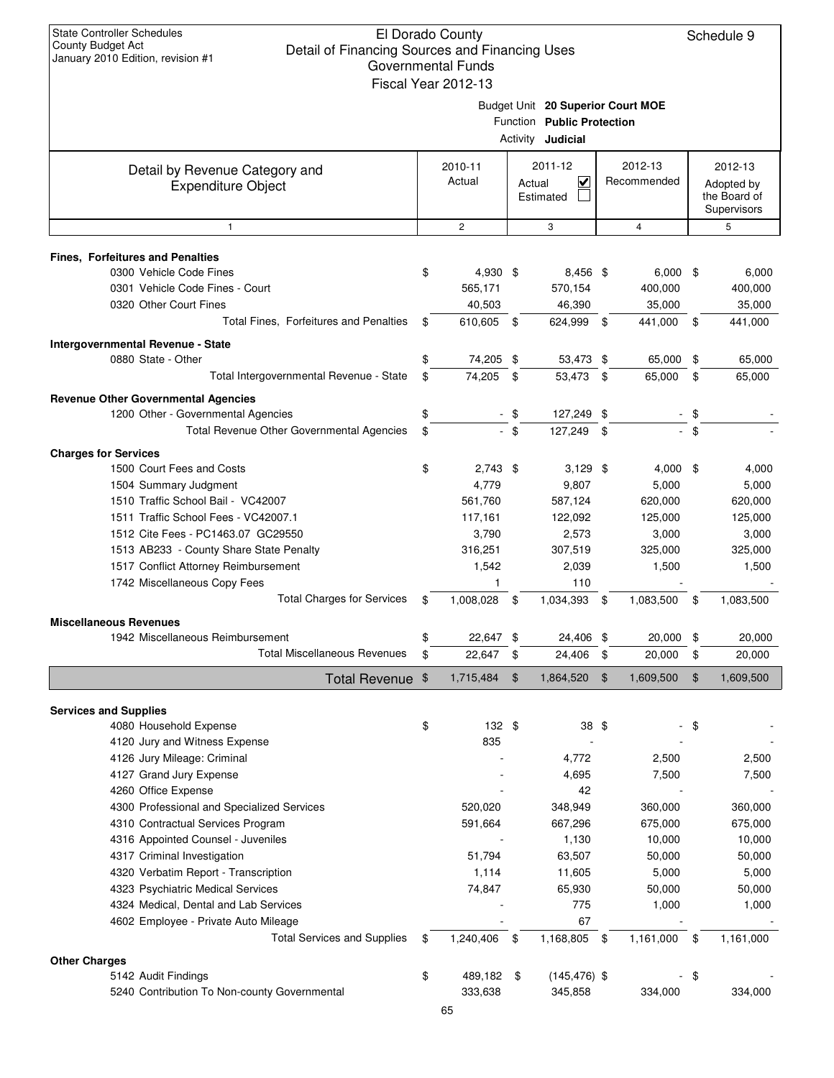|                                                             | Governmental Funds<br>Fiscal Year 2012-13 |      |                                                                                             |      |                        |      |                                                      |
|-------------------------------------------------------------|-------------------------------------------|------|---------------------------------------------------------------------------------------------|------|------------------------|------|------------------------------------------------------|
|                                                             |                                           |      | Budget Unit 20 Superior Court MOE<br>Function Public Protection<br>Activity <b>Judicial</b> |      |                        |      |                                                      |
| Detail by Revenue Category and<br><b>Expenditure Object</b> | 2010-11<br>Actual                         |      | 2011-12<br>V<br>Actual<br>Estimated                                                         |      | 2012-13<br>Recommended |      | 2012-13<br>Adopted by<br>the Board of<br>Supervisors |
| 1                                                           | $\overline{c}$                            |      | 3                                                                                           |      | 4                      |      | 5                                                    |
| <b>Fines, Forfeitures and Penalties</b>                     |                                           |      |                                                                                             |      |                        |      |                                                      |
| 0300 Vehicle Code Fines                                     | \$<br>4,930 \$                            |      | 8,456 \$                                                                                    |      | $6,000$ \$             |      | 6,000                                                |
| 0301 Vehicle Code Fines - Court                             | 565,171                                   |      | 570,154                                                                                     |      | 400,000                |      | 400,000                                              |
| 0320 Other Court Fines                                      | 40,503                                    |      | 46,390                                                                                      |      | 35,000                 |      | 35,000                                               |
| Total Fines, Forfeitures and Penalties                      | \$<br>610,605 \$                          |      | 624,999 \$                                                                                  |      | 441,000 \$             |      | 441,000                                              |
| Intergovernmental Revenue - State                           |                                           |      |                                                                                             |      |                        |      |                                                      |
| 0880 State - Other                                          | 74,205 \$                                 |      | 53,473 \$                                                                                   |      | 65,000                 | -\$  | 65,000                                               |
| Total Intergovernmental Revenue - State                     | \$<br>74,205                              | \$   | 53,473 \$                                                                                   |      | 65,000                 | \$   | 65,000                                               |
| <b>Revenue Other Governmental Agencies</b>                  |                                           |      |                                                                                             |      |                        |      |                                                      |
| 1200 Other - Governmental Agencies                          | \$                                        | -\$  | 127,249 \$                                                                                  |      |                        | - \$ |                                                      |
| Total Revenue Other Governmental Agencies                   | \$                                        | - \$ | 127,249 \$                                                                                  |      |                        | - \$ |                                                      |
| <b>Charges for Services</b>                                 |                                           |      |                                                                                             |      |                        |      |                                                      |
| 1500 Court Fees and Costs                                   | \$<br>$2,743$ \$                          |      | $3,129$ \$                                                                                  |      | $4,000$ \$             |      | 4,000                                                |
| 1504 Summary Judgment                                       | 4,779                                     |      | 9,807                                                                                       |      | 5,000                  |      | 5,000                                                |
| 1510 Traffic School Bail - VC42007                          | 561,760                                   |      | 587,124                                                                                     |      | 620,000                |      | 620,000                                              |
| 1511 Traffic School Fees - VC42007.1                        | 117,161                                   |      | 122,092                                                                                     |      | 125,000                |      | 125,000                                              |
| 1512 Cite Fees - PC1463.07 GC29550                          | 3,790                                     |      | 2,573                                                                                       |      | 3,000                  |      | 3,000                                                |
| 1513 AB233 - County Share State Penalty                     | 316,251                                   |      | 307,519                                                                                     |      | 325,000                |      | 325,000                                              |
| 1517 Conflict Attorney Reimbursement                        | 1,542                                     |      | 2,039                                                                                       |      | 1,500                  |      | 1,500                                                |
| 1742 Miscellaneous Copy Fees                                | 1                                         |      | 110                                                                                         |      |                        |      |                                                      |
| <b>Total Charges for Services</b>                           | \$<br>1,008,028                           | \$   | 1,034,393                                                                                   | \$   | 1,083,500              | \$   | 1,083,500                                            |
| <b>Miscellaneous Revenues</b>                               |                                           |      |                                                                                             |      |                        |      |                                                      |
| 1942 Miscellaneous Reimbursement                            | 22,647                                    | -\$  | 24,406 \$                                                                                   |      | 20,000                 | \$   | 20,000                                               |
| <b>Total Miscellaneous Revenues</b>                         | \$<br>22,647                              | -\$  | 24,406                                                                                      | \$   | 20,000                 | \$   | 20,000                                               |
| Total Revenue \$                                            | 1,715,484                                 |      | 1,864,520                                                                                   | \$   | 1,609,500              | \$   | 1,609,500                                            |
| <b>Services and Supplies</b>                                |                                           |      |                                                                                             |      |                        |      |                                                      |
| 4080 Household Expense                                      | \$<br>132 \$                              |      | 38 \$                                                                                       |      |                        | \$   |                                                      |
| 4120 Jury and Witness Expense                               | 835                                       |      |                                                                                             |      |                        |      |                                                      |
| 4126 Jury Mileage: Criminal                                 |                                           |      | 4,772                                                                                       |      | 2,500                  |      | 2,500                                                |
| 4127 Grand Jury Expense                                     |                                           |      | 4,695                                                                                       |      | 7,500                  |      | 7,500                                                |
| 4260 Office Expense                                         |                                           |      | 42                                                                                          |      |                        |      |                                                      |
| 4300 Professional and Specialized Services                  | 520,020                                   |      | 348,949                                                                                     |      | 360,000                |      | 360,000                                              |
| 4310 Contractual Services Program                           | 591,664                                   |      | 667,296                                                                                     |      | 675,000                |      | 675,000                                              |
| 4316 Appointed Counsel - Juveniles                          |                                           |      | 1,130                                                                                       |      | 10,000                 |      | 10,000                                               |
| 4317 Criminal Investigation                                 | 51,794                                    |      | 63,507                                                                                      |      | 50,000                 |      | 50,000                                               |
| 4320 Verbatim Report - Transcription                        | 1,114                                     |      | 11,605                                                                                      |      | 5,000                  |      | 5,000                                                |
| 4323 Psychiatric Medical Services                           | 74,847                                    |      | 65,930                                                                                      |      | 50,000                 |      | 50,000                                               |
| 4324 Medical, Dental and Lab Services                       |                                           |      | 775                                                                                         |      | 1,000                  |      | 1,000                                                |
| 4602 Employee - Private Auto Mileage                        |                                           |      | 67                                                                                          |      |                        |      |                                                      |
| <b>Total Services and Supplies</b>                          | \$<br>1,240,406                           | \$   | 1,168,805                                                                                   | - \$ | 1,161,000              | \$   | 1,161,000                                            |
| <b>Other Charges</b>                                        |                                           |      |                                                                                             |      |                        |      |                                                      |
| 5142 Audit Findings                                         | \$<br>489,182 \$                          |      | $(145, 476)$ \$                                                                             |      |                        | \$   |                                                      |
| 5240 Contribution To Non-county Governmental                | 333,638                                   |      | 345,858                                                                                     |      | 334,000                |      | 334,000                                              |